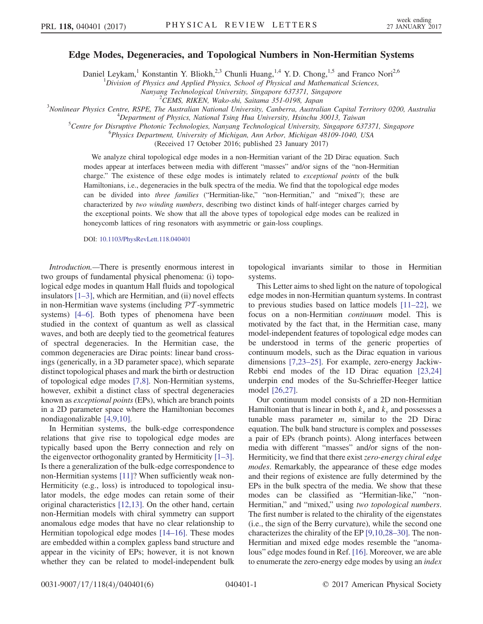## Edge Modes, Degeneracies, and Topological Numbers in Non-Hermitian Systems

Daniel Leykam,<sup>1</sup> Konstantin Y. Bliokh,<sup>2,3</sup> Chunli Huang,<sup>1,4</sup> Y. D. Chong,<sup>1,5</sup> and Franco Nori<sup>2,6</sup>

 $1$ Division of Physics and Applied Physics, School of Physical and Mathematical Sciences,

Nanyang Technological University, Singapore 637371, Singapore <sup>2</sup>CEMS, RIKEN, Wako-shi, Saitama 351-0198, Japan

 $^{2}$ CEMS, RIKEN, Wako-shi, Saitama 351-0198, Japan<sup>3</sup>Novlinear Physics Centre PSPE. The Australian National University Canberra, Australia

Nonlinear Physics Centre, RSPE, The Australian National University, Canberra, Australian Capital Territory 0200, Australia<br><sup>4</sup>Department of Physics, National Tripe Hya University, Heinely, 20012, Taiwan

<sup>4</sup>Department of Physics, National Tsing Hua University, Hsinchu 30013, Taiwan

 ${}^{5}$ Centre for Disruptive Photonic Technologies, Nanyang Technological University, Singapore 637371, Singapore

Physics Department, University of Michigan, Ann Arbor, Michigan 48109-1040, USA

(Received 17 October 2016; published 23 January 2017)

We analyze chiral topological edge modes in a non-Hermitian variant of the 2D Dirac equation. Such modes appear at interfaces between media with different "masses" and/or signs of the "non-Hermitian charge." The existence of these edge modes is intimately related to *exceptional points* of the bulk Hamiltonians, i.e., degeneracies in the bulk spectra of the media. We find that the topological edge modes can be divided into three families ("Hermitian-like," "non-Hermitian," and "mixed"); these are characterized by two winding numbers, describing two distinct kinds of half-integer charges carried by the exceptional points. We show that all the above types of topological edge modes can be realized in honeycomb lattices of ring resonators with asymmetric or gain-loss couplings.

DOI: [10.1103/PhysRevLett.118.040401](http://dx.doi.org/10.1103/PhysRevLett.118.040401)

Introduction.—There is presently enormous interest in two groups of fundamental physical phenomena: (i) topological edge modes in quantum Hall fluids and topological insulators  $[1-3]$  $[1-3]$ , which are Hermitian, and (ii) novel effects in non-Hermitian wave systems (including  $\mathcal{P}\mathcal{T}$ -symmetric systems) [\[4](#page-4-1)–6]. Both types of phenomena have been studied in the context of quantum as well as classical waves, and both are deeply tied to the geometrical features of spectral degeneracies. In the Hermitian case, the common degeneracies are Dirac points: linear band crossings (generically, in a 3D parameter space), which separate distinct topological phases and mark the birth or destruction of topological edge modes [\[7,8\]](#page-4-2). Non-Hermitian systems, however, exhibit a distinct class of spectral degeneracies known as exceptional points (EPs), which are branch points in a 2D parameter space where the Hamiltonian becomes nondiagonalizable [\[4,9,10\].](#page-4-1)

In Hermitian systems, the bulk-edge correspondence relations that give rise to topological edge modes are typically based upon the Berry connection and rely on the eigenvector orthogonality granted by Hermiticity [\[1](#page-4-0)–3]. Is there a generalization of the bulk-edge correspondence to non-Hermitian systems [\[11\]?](#page-4-3) When sufficiently weak non-Hermiticity (e.g., loss) is introduced to topological insulator models, the edge modes can retain some of their original characteristics [\[12,13\]](#page-4-4). On the other hand, certain non-Hermitian models with chiral symmetry can support anomalous edge modes that have no clear relationship to Hermitian topological edge modes [\[14](#page-4-5)–16]. These modes are embedded within a complex gapless band structure and appear in the vicinity of EPs; however, it is not known whether they can be related to model-independent bulk

topological invariants similar to those in Hermitian systems.

This Letter aims to shed light on the nature of topological edge modes in non-Hermitian quantum systems. In contrast to previous studies based on lattice models [11–[22\],](#page-4-3) we focus on a non-Hermitian continuum model. This is motivated by the fact that, in the Hermitian case, many model-independent features of topological edge modes can be understood in terms of the generic properties of continuum models, such as the Dirac equation in various dimensions [\[7,23](#page-4-2)–25]. For example, zero-energy Jackiw-Rebbi end modes of the 1D Dirac equation [\[23,24\]](#page-4-6) underpin end modes of the Su-Schrieffer-Heeger lattice model [\[26,27\]](#page-5-0).

Our continuum model consists of a 2D non-Hermitian Hamiltonian that is linear in both  $k_x$  and  $k_y$  and possesses a tunable mass parameter  $m$ , similar to the 2D Dirac equation. The bulk band structure is complex and possesses a pair of EPs (branch points). Along interfaces between media with different "masses" and/or signs of the non-Hermiticity, we find that there exist zero-energy chiral edge modes. Remarkably, the appearance of these edge modes and their regions of existence are fully determined by the EPs in the bulk spectra of the media. We show that these modes can be classified as "Hermitian-like," "non-Hermitian," and "mixed," using two topological numbers. The first number is related to the chirality of the eigenstates (i.e., the sign of the Berry curvature), while the second one characterizes the chirality of the EP [\[9,10,28](#page-4-7)–30]. The non-Hermitian and mixed edge modes resemble the "anomalous" edge modes found in Ref. [\[16\].](#page-4-8) Moreover, we are able to enumerate the zero-energy edge modes by using an index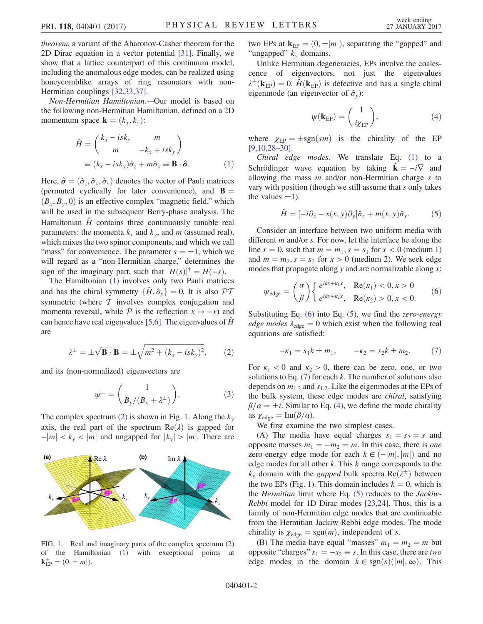theorem, a variant of the Aharonov-Casher theorem for the 2D Dirac equation in a vector potential [\[31\]](#page-5-1). Finally, we show that a lattice counterpart of this continuum model, including the anomalous edge modes, can be realized using honeycomblike arrays of ring resonators with non-Hermitian couplings [\[32,33,37\]](#page-5-2).

<span id="page-1-0"></span>Non-Hermitian Hamiltonian.—Our model is based on the following non-Hermitian Hamiltonian, defined on a 2D momentum space  $\mathbf{k} = (k_x, k_y)$ :

$$
\hat{H} = \begin{pmatrix} k_x - isk_y & m \\ m & -k_x + isk_y \end{pmatrix}
$$
  
\n
$$
\equiv (k_x - isk_y)\hat{\sigma}_z + m\hat{\sigma}_x \equiv \mathbf{B} \cdot \hat{\boldsymbol{\sigma}}.
$$
 (1)

Here,  $\hat{\sigma} = (\hat{\sigma}_z, \hat{\sigma}_x, \hat{\sigma}_y)$  denotes the vector of Pauli matrices (permuted cyclically for later convenience), and  $\mathbf{B} =$  $(B_x, B_y, 0)$  is an effective complex "magnetic field," which will be used in the subsequent Berry-phase analysis. The Hamiltonian  $\hat{H}$  contains three continuously tunable real parameters: the momenta  $k_x$  and  $k_y$ , and m (assumed real), which mixes the two spinor components, and which we call "mass" for convenience. The parameter  $s = \pm 1$ , which we will regard as a "non-Hermitian charge" determines the will regard as a "non-Hermitian charge," determines the sign of the imaginary part, such that  $[H(s)]^{\dagger} = H(-s)$ .

The Hamiltonian [\(1\)](#page-1-0) involves only two Pauli matrices and has the chiral symmetry  $\{\hat{H}, \hat{\sigma}_v\} = 0$ . It is also  $\mathcal{PT}$ symmetric (where  $T$  involves complex conjugation and momenta reversal, while  $P$  is the reflection  $x \to -x$ ) and can hence have real eigenvalues [\[5,6\]](#page-4-9). The eigenvalues of  $\hat{H}$ are

<span id="page-1-1"></span>
$$
\lambda^{\pm} = \pm \sqrt{\mathbf{B} \cdot \mathbf{B}} = \pm \sqrt{m^2 + (k_x - isk_y)^2},\qquad(2)
$$

<span id="page-1-7"></span>and its (non-normalized) eigenvectors are

$$
\psi^{\pm} = \begin{pmatrix} 1 \\ B_y/(B_x + \lambda^{\pm}) \end{pmatrix}.
$$
 (3)

The complex spectrum [\(2\)](#page-1-1) is shown in Fig. [1.](#page-1-2) Along the  $k_y$ axis, the real part of the spectrum  $Re(\lambda)$  is gapped for  $-|m| < k_y < |m|$  and ungapped for  $|k_y| > |m|$ . There are

<span id="page-1-2"></span>

FIG. 1. Real and imaginary parts of the complex spectrum [\(2\)](#page-1-1) of the Hamiltonian [\(1\)](#page-1-0) with exceptional points at  $\mathbf{k}_{\mathrm{EP}}^{\pm} = (0, \pm |m|).$ 

two EPs at  $\mathbf{k}_{\text{EP}} = (0, \pm |m|)$ , separating the "gapped" and "ungapped" k domains "ungapped"  $k_y$  domains.

<span id="page-1-6"></span>Unlike Hermitian degeneracies, EPs involve the coalescence of eigenvectors, not just the eigenvalues  $\lambda^{\pm}(\mathbf{k}_{EP}) = 0$ .  $\hat{H}(\mathbf{k}_{EP})$  is defective and has a single chiral eigenmode (an eigenvector of  $\hat{\sigma}$ ). eigenmode (an eigenvector of  $\hat{\sigma}_v$ ):

$$
\psi(\mathbf{k}_{\text{EP}}) = \begin{pmatrix} 1 \\ i\chi_{\text{EP}} \end{pmatrix},\tag{4}
$$

where  $\chi_{EP} = \pm sgn(sm)$  is the chirality of the EP<br>[9.10.28-30] [\[9,10,28](#page-4-7)–30].

<span id="page-1-4"></span>Chiral edge modes.—We translate Eq. [\(1\)](#page-1-0) to a Schrödinger wave equation by taking  $\hat{\mathbf{k}} = -i\nabla$  and allowing the mass  $m$  and/or non-Hermitian charge  $s$  to vary with position (though we still assume that s only takes the values  $\pm 1$ :

$$
\hat{H} = [-i\partial_x - s(x, y)\partial_y]\hat{\sigma}_z + m(x, y)\hat{\sigma}_x.
$$
 (5)

Consider an interface between two uniform media with different  $m$  and/or  $s$ . For now, let the interface be along the line  $x = 0$ , such that  $m = m_1$ ,  $s = s_1$  for  $x < 0$  (medium 1) and  $m = m_2$ ,  $s = s_2$  for  $x > 0$  (medium 2). We seek edge modes that propagate along  $y$  and are normalizable along  $x$ :

<span id="page-1-3"></span>
$$
\psi_{\text{edge}} = \binom{\alpha}{\beta} \begin{cases} e^{iky + \kappa_1 x}, & \text{Re}(\kappa_1) < 0, x > 0 \\ e^{iky + \kappa_2 x}, & \text{Re}(\kappa_2) > 0, x < 0. \end{cases} \tag{6}
$$

<span id="page-1-5"></span>Substituting Eq.  $(6)$  into Eq.  $(5)$ , we find the *zero-energy* edge modes  $\lambda_{\text{edge}} = 0$  which exist when the following real equations are satisfied:

$$
-\kappa_1 = s_1 k \pm m_1, \qquad -\kappa_2 = s_2 k \pm m_2. \tag{7}
$$

For  $\kappa_1$  < 0 and  $\kappa_2$  > 0, there can be zero, one, or two solutions to Eq.  $(7)$  for each k. The number of solutions also depends on  $m_{1,2}$  and  $s_{1,2}$ . Like the eigenmodes at the EPs of the bulk system, these edge modes are chiral, satisfying  $\beta/\alpha = \pm i$ . Similar to Eq. [\(4\)](#page-1-6), we define the mode chirality as  $x_i = \text{Im}(\beta/\alpha)$ as  $\chi_{\text{edge}} = \text{Im}(\beta/\alpha)$ .

We first examine the two simplest cases.

(A) The media have equal charges  $s_1 = s_2 = s$  and opposite masses  $m_1 = -m_2 = m$ . In this case, there is one zero-energy edge mode for each  $k \in (-|m|, |m|)$  and no edge modes for all other  $k$ . This  $k$  range corresponds to the  $k_y$  domain with the *gapped* bulk spectra  $Re(\lambda^{\pm})$  between<br>the two EPs (Fig. 1). This domain includes  $k = 0$ , which is the two EPs (Fig. [1\)](#page-1-2). This domain includes  $k = 0$ , which is the *Hermitian* limit where Eq.  $(5)$  reduces to the *Jackiw*-Rebbi model for 1D Dirac modes [\[23,24\].](#page-4-6) Thus, this is a family of non-Hermitian edge modes that are continuable from the Hermitian Jackiw-Rebbi edge modes. The mode chirality is  $\chi_{\text{edge}} = \text{sgn}(m)$ , independent of s.

(B) The media have equal "masses"  $m_1 = m_2 = m$  but opposite "charges"  $s_1 = -s_2 \equiv s$ . In this case, there are two edge modes in the domain  $k \in \text{sgn}(s)(|m|, \infty)$ . This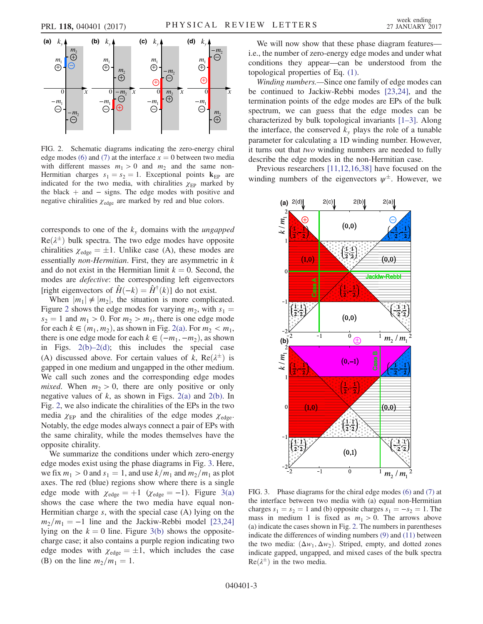<span id="page-2-0"></span>

FIG. 2. Schematic diagrams indicating the zero-energy chiral edge modes [\(6\)](#page-1-3) and [\(7\)](#page-1-5) at the interface  $x = 0$  between two media with different masses  $m_1 > 0$  and  $m_2$  and the same non-Hermitian charges  $s_1 = s_2 = 1$ . Exceptional points  $\mathbf{k}_{EP}$  are indicated for the two media, with chiralities  $\chi_{EP}$  marked by the black  $+$  and  $-$  signs. The edge modes with positive and negative chiralities  $\chi_{\text{edge}}$  are marked by red and blue colors.

corresponds to one of the  $k_y$  domains with the *ungapped*  $Re(\lambda^{\pm})$  bulk spectra. The two edge modes have opposite<br>chiralities  $x = +1$  Unlike case (A) these modes are chiralities  $\chi_{\text{edge}} = \pm 1$ . Unlike case (A), these modes are<br>essentially non-Harmitian. First, they are asymmetric in k essentially *non-Hermitian*. First, they are asymmetric in  $k$ and do not exist in the Hermitian limit  $k = 0$ . Second, the modes are defective: the corresponding left eigenvectors [right eigenvectors of  $\hat{H}(-k) = \hat{H}^{\dagger}(k)$ ] do not exist.

When  $|m_1| \neq |m_2|$ , the situation is more complicated. Figure [2](#page-2-0) shows the edge modes for varying  $m_2$ , with  $s_1 =$  $s_2 = 1$  and  $m_1 > 0$ . For  $m_2 > m_1$ , there is one edge mode for each  $k \in (m_1, m_2)$ , as shown in Fig. [2\(a\).](#page-2-0) For  $m_2 < m_1$ , there is one edge mode for each  $k \in (-m_1, -m_2)$ , as shown in Figs.  $2(b)-2(d)$ ; this includes the special case (A) discussed above. For certain values of k,  $Re(\lambda^{\pm})$  is ganned in one medium and unganned in the other medium gapped in one medium and ungapped in the other medium. We call such zones and the corresponding edge modes mixed. When  $m_2 > 0$ , there are only positive or only negative values of  $k$ , as shown in Figs. [2\(a\)](#page-2-0) and [2\(b\).](#page-2-0) In Fig. [2](#page-2-0), we also indicate the chiralities of the EPs in the two media  $\chi_{EP}$  and the chiralities of the edge modes  $\chi_{edge}$ . Notably, the edge modes always connect a pair of EPs with the same chirality, while the modes themselves have the opposite chirality.

We summarize the conditions under which zero-energy edge modes exist using the phase diagrams in Fig. [3](#page-2-1). Here, we fix  $m_1 > 0$  and  $s_1 = 1$ , and use  $k/m_1$  and  $m_2/m_1$  as plot axes. The red (blue) regions show where there is a single edge mode with  $\chi_{\text{edge}} = +1$  ( $\chi_{\text{edge}} = -1$ ). Figure [3\(a\)](#page-2-1) shows the case where the two media have equal non-Hermitian charge  $s$ , with the special case  $(A)$  lying on the  $m_2/m_1 = -1$  line and the Jackiw-Rebbi model [\[23,24\]](#page-4-6) lying on the  $k = 0$  line. Figure [3\(b\)](#page-2-1) shows the oppositecharge case; it also contains a purple region indicating two edge modes with  $\chi_{\text{edge}} = \pm 1$ , which includes the case (B) on the line  $m_2/m_1 = 1$ .

We will now show that these phase diagram features i.e., the number of zero-energy edge modes and under what conditions they appear—can be understood from the topological properties of Eq. [\(1\).](#page-1-0)

Winding numbers.—Since one family of edge modes can be continued to Jackiw-Rebbi modes [\[23,24\],](#page-4-6) and the termination points of the edge modes are EPs of the bulk spectrum, we can guess that the edge modes can be characterized by bulk topological invariants [1–[3\].](#page-4-0) Along the interface, the conserved  $k_y$  plays the role of a tunable parameter for calculating a 1D winding number. However, it turns out that two winding numbers are needed to fully describe the edge modes in the non-Hermitian case.

Previous researchers [\[11,12,16,38\]](#page-4-3) have focused on the winding numbers of the eigenvectors  $\psi^{\pm}$ . However, we

<span id="page-2-1"></span>

FIG. 3. Phase diagrams for the chiral edge modes [\(6\)](#page-1-3) and [\(7\)](#page-1-5) at the interface between two media with (a) equal non-Hermitian charges  $s_1 = s_2 = 1$  and (b) opposite charges  $s_1 = -s_2 = 1$ . The mass in medium 1 is fixed as  $m_1 > 0$ . The arrows above (a) indicate the cases shown in Fig. [2.](#page-2-0) The numbers in parentheses indicate the differences of winding numbers [\(9\)](#page-3-0) and [\(11\)](#page-3-1) between the two media:  $(\Delta w_1, \Delta w_2)$ . Striped, empty, and dotted zones indicate gapped, ungapped, and mixed cases of the bulk spectra  $Re(\lambda^{\pm})$  in the two media.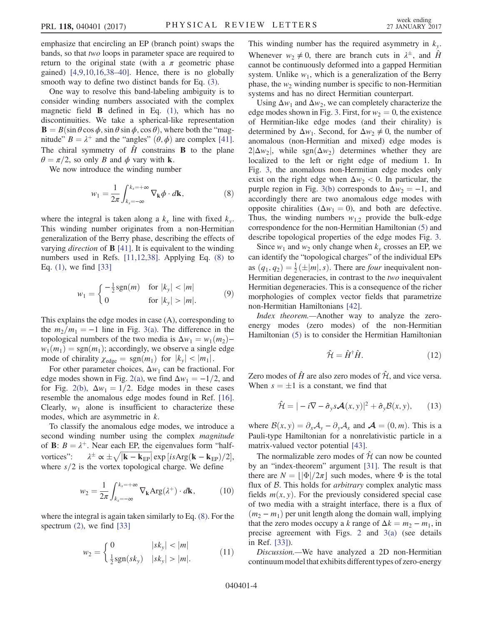emphasize that encircling an EP (branch point) swaps the bands, so that two loops in parameter space are required to return to the original state (with a  $\pi$  geometric phase gained) [\[4,9,10,16,38](#page-4-1)–40]. Hence, there is no globally smooth way to define two distinct bands for Eq. [\(3\).](#page-1-7)

One way to resolve this band-labeling ambiguity is to consider winding numbers associated with the complex magnetic field  $\bf{B}$  defined in Eq. [\(1\),](#page-1-0) which has no discontinuities. We take a spherical-like representation  $\mathbf{B} = B(\sin \theta \cos \phi, \sin \theta \sin \phi, \cos \theta)$ , where both the "magnitude"  $B = \lambda^+$  and the "angles"  $(\theta, \phi)$  are complex [\[41\]](#page-5-3). The chiral symmetry of  $\hat{H}$  constrains **B** to the plane  $\theta = \pi/2$ , so only B and  $\phi$  vary with **k**.

<span id="page-3-2"></span>We now introduce the winding number

$$
w_1 = \frac{1}{2\pi} \int_{k_x = -\infty}^{k_x = +\infty} \nabla_{\mathbf{k}} \phi \cdot d\mathbf{k},
$$
\n(8)

<span id="page-3-0"></span>where the integral is taken along a  $k_x$  line with fixed  $k_y$ . This winding number originates from a non-Hermitian generalization of the Berry phase, describing the effects of varying *direction* of  $\bf{B}$  [\[41\]](#page-5-3). It is equivalent to the winding numbers used in Refs. [\[11,12,38\]](#page-4-3). Applying Eq. [\(8\)](#page-3-2) to Eq. [\(1\),](#page-1-0) we find [\[33\]](#page-5-4)

$$
w_1 = \begin{cases} -\frac{1}{2} \text{sgn}(m) & \text{for } |k_y| < |m| \\ 0 & \text{for } |k_y| > |m|. \end{cases}
$$
(9)

This explains the edge modes in case (A), corresponding to the  $m_2/m_1 = -1$  line in Fig. [3\(a\).](#page-2-1) The difference in the topological numbers of the two media is  $\Delta w_1 = w_1(m_2)$  $w_1(m_1) = \text{sgn}(m_1)$ ; accordingly, we observe a single edge mode of chirality  $\chi_{\text{edge}} = \text{sgn}(m_1)$  for  $|k_y| < |m_1|$ .

For other parameter choices,  $\Delta w_1$  can be fractional. For edge modes shown in Fig. [2\(a\)](#page-2-0), we find  $\Delta w_1 = -1/2$ , and for Fig. [2\(b\)](#page-2-0),  $\Delta w_1 = 1/2$ . Edge modes in these cases resemble the anomalous edge modes found in Ref. [\[16\]](#page-4-8). Clearly,  $w_1$  alone is insufficient to characterize these modes, which are asymmetric in k.

To classify the anomalous edge modes, we introduce a second winding number using the complex *magnitude* of **B**:  $B = \lambda^+$ . Near each EP, the eigenvalues form "halfvortices":  $\frac{d}{dx} \propto \pm \sqrt{|\mathbf{k} - \mathbf{k}_{EP}|} \exp[i s \text{Arg}(\mathbf{k} - \mathbf{k}_{EP})/2],$ where  $s/2$  is the vortex topological charge. We define

$$
w_2 = \frac{1}{2\pi} \int_{k_x = -\infty}^{k_x = +\infty} \nabla_{\mathbf{k}} \text{Arg}(\lambda^+) \cdot d\mathbf{k}, \qquad (10)
$$

<span id="page-3-1"></span>where the integral is again taken similarly to Eq. [\(8\)](#page-3-2). For the spectrum  $(2)$ , we find  $[33]$ 

$$
w_2 = \begin{cases} 0 & |sk_y| < |m| \\ \frac{1}{2}sgn(sk_y) & |sk_y| > |m|. \end{cases}
$$
 (11)

This winding number has the required asymmetry in  $k_y$ . Whenever  $w_2 \neq 0$ , there are branch cuts in  $\lambda^{\pm}$ , and  $\hat{H}$ cannot be continuously deformed into a gapped Hermitian system. Unlike  $w_1$ , which is a generalization of the Berry phase, the  $w_2$  winding number is specific to non-Hermitian systems and has no direct Hermitian counterpart.

Using  $\Delta w_1$  and  $\Delta w_2$ , we can completely characterize the edge modes shown in Fig. [3](#page-2-1). First, for  $w_2 = 0$ , the existence of Hermitian-like edge modes (and their chirality) is determined by  $\Delta w_1$ . Second, for  $\Delta w_2 \neq 0$ , the number of anomalous (non-Hermitian and mixed) edge modes is  $2|\Delta w_2|$ , while sgn $(\Delta w_2)$  determines whether they are localized to the left or right edge of medium 1. In Fig. [3,](#page-2-1) the anomalous non-Hermitian edge modes only exist on the right edge when  $\Delta w_2 < 0$ . In particular, the purple region in Fig. [3\(b\)](#page-2-1) corresponds to  $\Delta w_2 = -1$ , and accordingly there are two anomalous edge modes with opposite chiralities ( $\Delta w_1 = 0$ ), and both are defective. Thus, the winding numbers  $w_{1,2}$  provide the bulk-edge correspondence for the non-Hermitian Hamiltonian [\(5\)](#page-1-4) and describe topological properties of the edge modes Fig. [3.](#page-2-1)

Since  $w_1$  and  $w_2$  only change when  $k_y$  crosses an EP, we can identify the "topological charges" of the individual EPs as  $(q_1, q_2) = \frac{1}{2}(\pm |m|, s)$ . There are *four* inequivalent non-<br>Hermitian degeneracies in contrast to the two inequivalent  $2a_3$  ( $q_1$ ,  $q_2$ )  $\frac{1}{2}$  ( $\frac{1}{m_1}$ , s). There are *four* inequivalent non-<br>Hermitian degeneracies, in contrast to the *two* inequivalent Hermitian degeneracies. This is a consequence of the richer morphologies of complex vector fields that parametrize non-Hermitian Hamiltonians [\[42\]](#page-5-5).

Index theorem.—Another way to analyze the zeroenergy modes (zero modes) of the non-Hermitian Hamiltonian [\(5\)](#page-1-4) is to consider the Hermitian Hamiltonian

$$
\hat{\mathcal{H}} = \hat{H}^{\dagger} \hat{H}.
$$
 (12)

Zero modes of  $\hat{H}$  are also zero modes of  $\hat{\mathcal{H}}$ , and vice versa. When  $s = \pm 1$  is a constant, we find that

$$
\hat{\mathcal{H}} = |-i\nabla - \hat{\sigma}_y s \mathcal{A}(x, y)|^2 + \hat{\sigma}_y \mathcal{B}(x, y), \qquad (13)
$$

where  $\mathcal{B}(x, y) = \partial_x \mathcal{A}_y - \partial_y \mathcal{A}_x$  and  $\mathcal{A} = (0, m)$ . This is a Pauli-type Hamiltonian for a nonrelativistic particle in a matrix-valued vector potential [\[43\]](#page-5-6).

The normalizable zero modes of  $\hat{\mathcal{H}}$  can now be counted by an "index-theorem" argument [\[31\].](#page-5-1) The result is that there are  $N = |\Phi|/2\pi|$  such modes, where  $\Phi$  is the total flux of  $B$ . This holds for *arbitrary* complex analytic mass fields  $m(x, y)$ . For the previously considered special case of two media with a straight interface, there is a flux of  $(m<sub>2</sub> - m<sub>1</sub>)$  per unit length along the domain wall, implying that the zero modes occupy a k range of  $\Delta k = m_2 - m_1$ , in precise agreement with Figs. [2](#page-2-0) and [3\(a\)](#page-2-1) (see details in Ref. [\[33\]](#page-5-4)).

Discussion.—We have analyzed a 2D non-Hermitian continuum model that exhibits different types of zero-energy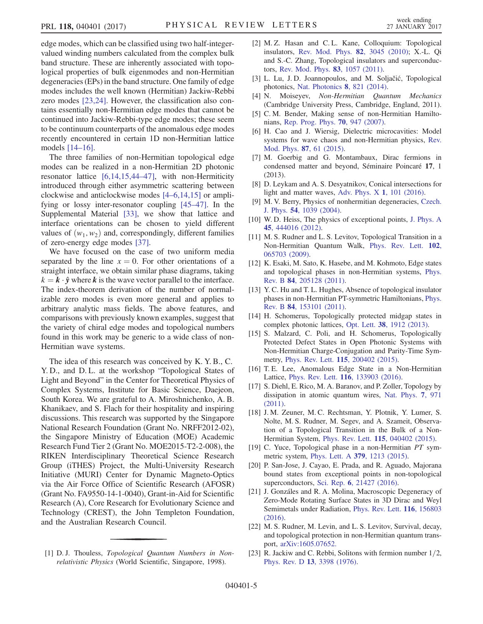edge modes, which can be classified using two half-integervalued winding numbers calculated from the complex bulk band structure. These are inherently associated with topological properties of bulk eigenmodes and non-Hermitian degeneracies (EPs) in the band structure. One family of edge modes includes the well known (Hermitian) Jackiw-Rebbi zero modes [\[23,24\].](#page-4-6) However, the classification also contains essentially non-Hermitian edge modes that cannot be continued into Jackiw-Rebbi-type edge modes; these seem to be continuum counterparts of the anomalous edge modes recently encountered in certain 1D non-Hermitian lattice models [\[14](#page-4-5)–16].

The three families of non-Hermitian topological edge modes can be realized in a non-Hermitian 2D photonic resonator lattice [\[6,14,15,44](#page-4-10)–47], with non-Hermiticity introduced through either asymmetric scattering between clockwise and anticlockwise modes [4–[6,14,15\]](#page-4-1) or amplifying or lossy inter-resonator coupling [45–[47\].](#page-5-7) In the Supplemental Material [\[33\],](#page-5-4) we show that lattice and interface orientations can be chosen to yield different values of  $(w_1, w_2)$  and, correspondingly, different families of zero-energy edge modes [\[37\].](#page-5-8)

We have focused on the case of two uniform media separated by the line  $x = 0$ . For other orientations of a straight interface, we obtain similar phase diagrams, taking  $k = k \cdot \hat{y}$  where k is the wave vector parallel to the interface. The index-theorem derivation of the number of normalizable zero modes is even more general and applies to arbitrary analytic mass fields. The above features, and comparisons with previously known examples, suggest that the variety of chiral edge modes and topological numbers found in this work may be generic to a wide class of non-Hermitian wave systems.

The idea of this research was conceived by K. Y. B., C. Y. D., and D. L. at the workshop "Topological States of Light and Beyond" in the Center for Theoretical Physics of Complex Systems, Institute for Basic Science, Daejeon, South Korea. We are grateful to A. Miroshnichenko, A. B. Khanikaev, and S. Flach for their hospitality and inspiring discussions. This research was supported by the Singapore National Research Foundation (Grant No. NRFF2012-02), the Singapore Ministry of Education (MOE) Academic Research Fund Tier 2 (Grant No. MOE2015-T2-2-008), the RIKEN Interdisciplinary Theoretical Science Research Group (iTHES) Project, the Multi-University Research Initiative (MURI) Center for Dynamic Magneto-Optics via the Air Force Office of Scientific Research (AFOSR) (Grant No. FA9550-14-1-0040), Grant-in-Aid for Scientific Research (A), Core Research for Evolutionary Science and Technology (CREST), the John Templeton Foundation, and the Australian Research Council.

<span id="page-4-0"></span>[1] D. J. Thouless, *Topological Quantum Numbers in Non*relativistic Physics (World Scientific, Singapore, 1998).

- [2] M. Z. Hasan and C. L. Kane, Colloquium: Topological insulators, [Rev. Mod. Phys.](http://dx.doi.org/10.1103/RevModPhys.82.3045) 82, 3045 (2010); X.-L. Qi and S.-C. Zhang, Topological insulators and superconductors, [Rev. Mod. Phys.](http://dx.doi.org/10.1103/RevModPhys.83.1057) 83, 1057 (2011).
- [3] L. Lu, J. D. Joannopoulos, and M. Soljačić, Topological photonics, [Nat. Photonics](http://dx.doi.org/10.1038/nphoton.2014.248) 8, 821 (2014).
- <span id="page-4-1"></span>[4] N. Moiseyev, Non-Hermitian Quantum Mechanics (Cambridge University Press, Cambridge, England, 2011).
- <span id="page-4-9"></span>[5] C. M. Bender, Making sense of non-Hermitian Hamiltonians, [Rep. Prog. Phys.](http://dx.doi.org/10.1088/0034-4885/70/6/R03) 70, 947 (2007).
- <span id="page-4-10"></span>[6] H. Cao and J. Wiersig, Dielectric microcavities: Model systems for wave chaos and non-Hermitian physics, [Rev.](http://dx.doi.org/10.1103/RevModPhys.87.61) [Mod. Phys.](http://dx.doi.org/10.1103/RevModPhys.87.61) 87, 61 (2015).
- <span id="page-4-2"></span>[7] M. Goerbig and G. Montambaux, Dirac fermions in condensed matter and beyond, Séminaire Poincaré 17, 1 (2013).
- [8] D. Leykam and A. S. Desyatnikov, Conical intersections for light and matter waves, [Adv. Phys. X](http://dx.doi.org/10.1080/23746149.2016.1144482) 1, 101 (2016).
- <span id="page-4-7"></span>[9] M. V. Berry, Physics of nonhermitian degeneracies, [Czech.](http://dx.doi.org/10.1023/B:CJOP.0000044002.05657.04) J. Phys. 54[, 1039 \(2004\).](http://dx.doi.org/10.1023/B:CJOP.0000044002.05657.04)
- [10] W. D. Heiss, The physics of exceptional points, [J. Phys. A](http://dx.doi.org/10.1088/1751-8113/45/44/444016) 45[, 444016 \(2012\).](http://dx.doi.org/10.1088/1751-8113/45/44/444016)
- <span id="page-4-3"></span>[11] M. S. Rudner and L. S. Levitov, Topological Transition in a Non-Hermitian Quantum Walk, [Phys. Rev. Lett.](http://dx.doi.org/10.1103/PhysRevLett.102.065703) 102, [065703 \(2009\).](http://dx.doi.org/10.1103/PhysRevLett.102.065703)
- <span id="page-4-4"></span>[12] K. Esaki, M. Sato, K. Hasebe, and M. Kohmoto, Edge states and topological phases in non-Hermitian systems, [Phys.](http://dx.doi.org/10.1103/PhysRevB.84.205128) Rev. B 84[, 205128 \(2011\).](http://dx.doi.org/10.1103/PhysRevB.84.205128)
- [13] Y. C. Hu and T. L. Hughes, Absence of topological insulator phases in non-Hermitian PT-symmetric Hamiltonians, [Phys.](http://dx.doi.org/10.1103/PhysRevB.84.153101) Rev. B 84[, 153101 \(2011\).](http://dx.doi.org/10.1103/PhysRevB.84.153101)
- <span id="page-4-5"></span>[14] H. Schomerus, Topologically protected midgap states in complex photonic lattices, Opt. Lett. 38[, 1912 \(2013\)](http://dx.doi.org/10.1364/OL.38.001912).
- [15] S. Malzard, C. Poli, and H. Schomerus, Topologically Protected Defect States in Open Photonic Systems with Non-Hermitian Charge-Conjugation and Parity-Time Symmetry, Phys. Rev. Lett. 115[, 200402 \(2015\).](http://dx.doi.org/10.1103/PhysRevLett.115.200402)
- <span id="page-4-8"></span>[16] T. E. Lee, Anomalous Edge State in a Non-Hermitian Lattice, Phys. Rev. Lett. 116[, 133903 \(2016\)](http://dx.doi.org/10.1103/PhysRevLett.116.133903).
- [17] S. Diehl, E. Rico, M. A. Baranov, and P. Zoller, Topology by dissipation in atomic quantum wires, [Nat. Phys.](http://dx.doi.org/10.1038/nphys2106) 7, 971 [\(2011\).](http://dx.doi.org/10.1038/nphys2106)
- [18] J. M. Zeuner, M. C. Rechtsman, Y. Plotnik, Y. Lumer, S. Nolte, M. S. Rudner, M. Segev, and A. Szameit, Observation of a Topological Transition in the Bulk of a Non-Hermitian System, Phys. Rev. Lett. 115[, 040402 \(2015\).](http://dx.doi.org/10.1103/PhysRevLett.115.040402)
- [19] C. Yuce, Topological phase in a non-Hermitian PT symmetric system, Phys. Lett. A 379[, 1213 \(2015\)](http://dx.doi.org/10.1016/j.physleta.2015.02.011).
- [20] P. San-Jose, J. Cayao, E. Prada, and R. Aguado, Majorana bound states from exceptional points in non-topological superconductors, Sci. Rep. 6[, 21427 \(2016\).](http://dx.doi.org/10.1038/srep21427)
- [21] J. Gonzáles and R. A. Molina, Macroscopic Degeneracy of Zero-Mode Rotating Surface States in 3D Dirac and Weyl Semimetals under Radiation, [Phys. Rev. Lett.](http://dx.doi.org/10.1103/PhysRevLett.116.156803) 116, 156803 [\(2016\).](http://dx.doi.org/10.1103/PhysRevLett.116.156803)
- [22] M. S. Rudner, M. Levin, and L. S. Levitov, Survival, decay, and topological protection in non-Hermitian quantum transport, [arXiv:1605.07652.](http://arXiv.org/abs/1605.07652)
- <span id="page-4-6"></span>[23] R. Jackiw and C. Rebbi, Solitons with fermion number  $1/2$ , Phys. Rev. D 13[, 3398 \(1976\).](http://dx.doi.org/10.1103/PhysRevD.13.3398)